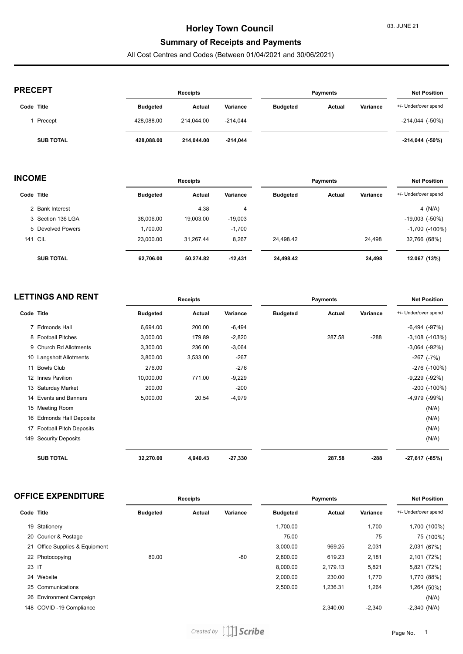### **Summary of Receipts and Payments**

All Cost Centres and Codes (Between 01/04/2021 and 30/06/2021)

| <b>PRECEPT</b>   |                 | <b>Receipts</b> |            |                 | <b>Payments</b> |          |                      |
|------------------|-----------------|-----------------|------------|-----------------|-----------------|----------|----------------------|
| Code Title       | <b>Budgeted</b> | Actual          | Variance   | <b>Budgeted</b> | Actual          | Variance | +/- Under/over spend |
| Precept          | 428.088.00      | 214.044.00      | $-214,044$ |                 |                 |          | $-214,044$ $(-50\%)$ |
| <b>SUB TOTAL</b> | 428.088.00      | 214.044.00      | $-214,044$ |                 |                 |          | $-214,044$ (-50%)    |

| <b>INCOME</b> |                   | <b>Receipts</b> |           |           | <b>Payments</b> |        |          | <b>Net Position</b>   |  |
|---------------|-------------------|-----------------|-----------|-----------|-----------------|--------|----------|-----------------------|--|
|               | Code Title        | <b>Budgeted</b> | Actual    | Variance  | <b>Budgeted</b> | Actual | Variance | +/- Under/over spend  |  |
|               | 2 Bank Interest   |                 | 4.38      | 4         |                 |        |          | 4 $(N/A)$             |  |
|               | 3 Section 136 LGA | 38,006.00       | 19.003.00 | $-19,003$ |                 |        |          | $-19,003$ $(-50\%)$   |  |
|               | 5 Devolved Powers | 1,700.00        |           | $-1,700$  |                 |        |          | $-1,700$ ( $-100\%$ ) |  |
|               | <b>141 CIL</b>    | 23.000.00       | 31.267.44 | 8,267     | 24.498.42       |        | 24,498   | 32,766 (68%)          |  |
|               | <b>SUB TOTAL</b>  | 62,706.00       | 50,274.82 | $-12,431$ | 24,498.42       |        | 24,498   | 12,067 (13%)          |  |

| <b>LETTINGS AND RENT</b> |                            | <b>Receipts</b> |          |           | Payments        |        |          | <b>Net Position</b>   |
|--------------------------|----------------------------|-----------------|----------|-----------|-----------------|--------|----------|-----------------------|
| Code Title               |                            | <b>Budgeted</b> | Actual   | Variance  | <b>Budgeted</b> | Actual | Variance | +/- Under/over spend  |
|                          | 7 Edmonds Hall             | 6,694.00        | 200.00   | $-6,494$  |                 |        |          | $-6,494$ $(-97%)$     |
|                          | 8 Football Pitches         | 3,000.00        | 179.89   | $-2,820$  |                 | 287.58 | $-288$   | $-3,108$ $(-103%)$    |
|                          | 9 Church Rd Allotments     | 3,300.00        | 236.00   | $-3,064$  |                 |        |          | $-3,064$ $(-92%)$     |
|                          | 10 Langshott Allotments    | 3,800.00        | 3,533.00 | $-267$    |                 |        |          | $-267$ $(-7%)$        |
|                          | 11 Bowls Club              | 276.00          |          | $-276$    |                 |        |          | -276 (-100%)          |
|                          | 12 Innes Pavilion          | 10,000.00       | 771.00   | $-9,229$  |                 |        |          | $-9,229$ $(-92%)$     |
|                          | 13 Saturday Market         | 200.00          |          | $-200$    |                 |        |          | $-200$ ( $-100\%$ )   |
|                          | 14 Events and Banners      | 5,000.00        | 20.54    | $-4,979$  |                 |        |          | $-4,979$ $(-99%)$     |
|                          | 15 Meeting Room            |                 |          |           |                 |        |          | (N/A)                 |
|                          | 16 Edmonds Hall Deposits   |                 |          |           |                 |        |          | (N/A)                 |
|                          | 17 Football Pitch Deposits |                 |          |           |                 |        |          | (N/A)                 |
| 149                      | <b>Security Deposits</b>   |                 |          |           |                 |        |          | (N/A)                 |
|                          | <b>SUB TOTAL</b>           | 32,270.00       | 4,940.43 | $-27,330$ |                 | 287.58 | $-288$   | $-27,617$ ( $-85\%$ ) |

| <b>OFFICE EXPENDITURE</b> | Receipts | Pavments | Position<br>Net |
|---------------------------|----------|----------|-----------------|
|                           |          |          |                 |

| Code Title |                                | <b>Budgeted</b> | Actual | Variance | <b>Budgeted</b> | Actual   | Variance | +/- Under/over spend |
|------------|--------------------------------|-----------------|--------|----------|-----------------|----------|----------|----------------------|
|            | 19 Stationery                  |                 |        |          | 1.700.00        |          | 1,700    | 1,700 (100%)         |
|            | 20 Courier & Postage           |                 |        |          | 75.00           |          | 75       | 75 (100%)            |
|            | 21 Office Supplies & Equipment |                 |        |          | 3,000.00        | 969.25   | 2,031    | 2,031 (67%)          |
|            | 22 Photocopying                | 80.00           |        | $-80$    | 2,800.00        | 619.23   | 2,181    | 2,101 (72%)          |
| 23 IT      |                                |                 |        |          | 8.000.00        | 2.179.13 | 5,821    | 5,821 (72%)          |
|            | 24 Website                     |                 |        |          | 2,000.00        | 230.00   | 1,770    | 1,770 (88%)          |
|            | 25 Communications              |                 |        |          | 2,500.00        | 1,236.31 | 1,264    | 1,264 (50%)          |
|            | 26 Environment Campaign        |                 |        |          |                 |          |          | (N/A)                |
|            | 148 COVID-19 Compliance        |                 |        |          |                 | 2,340.00 | $-2,340$ | $-2,340$ (N/A)       |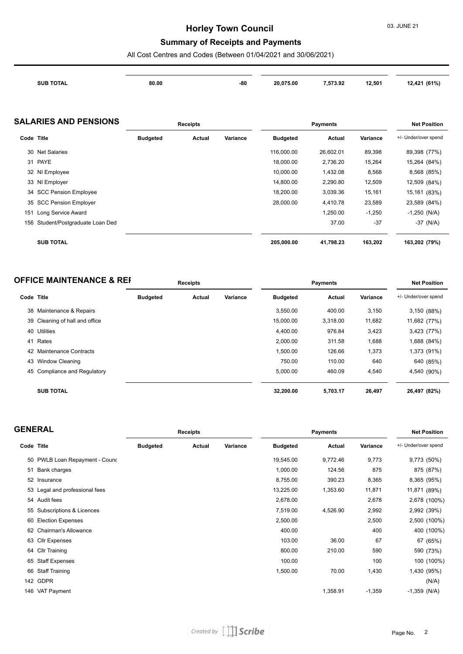## **Summary of Receipts and Payments**

All Cost Centres and Codes (Between 01/04/2021 and 30/06/2021)

|            | <b>SUB TOTAL</b>              | 80.00           |                 | -80      | 20,075.00       | 7,573.92        | 12,501   | 12,421 (61%)         |
|------------|-------------------------------|-----------------|-----------------|----------|-----------------|-----------------|----------|----------------------|
|            | <b>SALARIES AND PENSIONS</b>  |                 | <b>Receipts</b> |          |                 | <b>Payments</b> |          | <b>Net Position</b>  |
| Code Title |                               | <b>Budgeted</b> | Actual          | Variance | <b>Budgeted</b> | <b>Actual</b>   | Variance | +/- Under/over spend |
| 30         | <b>Net Salaries</b>           |                 |                 |          | 116,000.00      | 26,602.01       | 89,398   | 89,398 (77%)         |
|            | 31 PAYE                       |                 |                 |          | 18,000.00       | 2,736.20        | 15,264   | 15,264 (84%)         |
|            | 32 NI Employee                |                 |                 |          | 10,000.00       | 1,432.08        | 8,568    | 8,568 (85%)          |
| 33         | NI Employer                   |                 |                 |          | 14,800.00       | 2,290.80        | 12,509   | 12,509 (84%)         |
| 34         | <b>SCC Pension Employee</b>   |                 |                 |          | 18,200.00       | 3,039.36        | 15,161   | 15,161 (83%)         |
| 35         | <b>SCC Pension Employer</b>   |                 |                 |          | 28,000.00       | 4,410.78        | 23,589   | 23,589 (84%)         |
| 151        | Long Service Award            |                 |                 |          |                 | 1,250.00        | $-1,250$ | $-1,250$ (N/A)       |
| 156        | Student/Postgraduate Loan Ded |                 |                 |          |                 | 37.00           | $-37$    | $-37$ (N/A)          |
|            | <b>SUB TOTAL</b>              |                 |                 |          | 205,000.00      | 41,798.23       | 163,202  | 163,202 (79%)        |

| <b>OFFICE MAINTENANCE &amp; REF</b> | <b>Receipts</b> | Pavments | <b>Net Position</b> |
|-------------------------------------|-----------------|----------|---------------------|
|                                     |                 |          |                     |

| Code Title |                                | <b>Budgeted</b> | Actual | Variance | <b>Budgeted</b> | Actual   | Variance | +/- Under/over spend |
|------------|--------------------------------|-----------------|--------|----------|-----------------|----------|----------|----------------------|
|            | 38 Maintenance & Repairs       |                 |        |          | 3.550.00        | 400.00   | 3,150    | 3,150 (88%)          |
|            | 39 Cleaning of hall and office |                 |        |          | 15,000.00       | 3,318.00 | 11,682   | 11,682 (77%)         |
| 40         | Utilities                      |                 |        |          | 4.400.00        | 976.84   | 3,423    | 3,423 (77%)          |
| 41         | Rates                          |                 |        |          | 2.000.00        | 311.58   | 1,688    | 1,688 (84%)          |
|            | 42 Maintenance Contracts       |                 |        |          | 1.500.00        | 126.66   | 1,373    | 1,373 (91%)          |
|            | 43 Window Cleaning             |                 |        |          | 750.00          | 110.00   | 640      | 640 (85%)            |
|            | 45 Compliance and Regulatory   |                 |        |          | 5.000.00        | 460.09   | 4,540    | 4,540 (90%)          |
|            | <b>SUB TOTAL</b>               |                 |        |          | 32.200.00       | 5,703.17 | 26,497   | 26,497 (82%)         |

| <b>GENERAL</b> |                                | Receipts        |        | <b>Payments</b> |                 |          | <b>Net Position</b> |                      |
|----------------|--------------------------------|-----------------|--------|-----------------|-----------------|----------|---------------------|----------------------|
| Code Title     |                                | <b>Budgeted</b> | Actual | Variance        | <b>Budgeted</b> | Actual   | Variance            | +/- Under/over spend |
|                | 50 PWLB Loan Repayment - Cound |                 |        |                 | 19,545.00       | 9,772.46 | 9,773               | 9,773 (50%)          |
|                | 51 Bank charges                |                 |        |                 | 1,000.00        | 124.56   | 875                 | 875 (87%)            |
|                | 52 Insurance                   |                 |        |                 | 8,755.00        | 390.23   | 8,365               | 8,365 (95%)          |
|                | 53 Legal and professional fees |                 |        |                 | 13,225.00       | 1,353.60 | 11,871              | 11,871 (89%)         |
|                | 54 Audit fees                  |                 |        |                 | 2,678.00        |          | 2,678               | 2,678 (100%)         |
|                | 55 Subscriptions & Licences    |                 |        |                 | 7,519.00        | 4,526.90 | 2,992               | 2,992 (39%)          |
|                | 60 Election Expenses           |                 |        |                 | 2,500.00        |          | 2,500               | 2,500 (100%)         |
|                | 62 Chairman's Allowance        |                 |        |                 | 400.00          |          | 400                 | 400 (100%)           |
|                | 63 Cllr Expenses               |                 |        |                 | 103.00          | 36.00    | 67                  | 67 (65%)             |
|                | 64 Cllr Training               |                 |        |                 | 800.00          | 210.00   | 590                 | 590 (73%)            |
|                | 65 Staff Expenses              |                 |        |                 | 100.00          |          | 100                 | 100 (100%)           |
|                | 66 Staff Training              |                 |        |                 | 1,500.00        | 70.00    | 1,430               | 1,430 (95%)          |
|                | 142 GDPR                       |                 |        |                 |                 |          |                     | (N/A)                |
|                | 146 VAT Payment                |                 |        |                 |                 | 1,358.91 | $-1,359$            | $-1,359$ (N/A)       |
|                |                                |                 |        |                 |                 |          |                     |                      |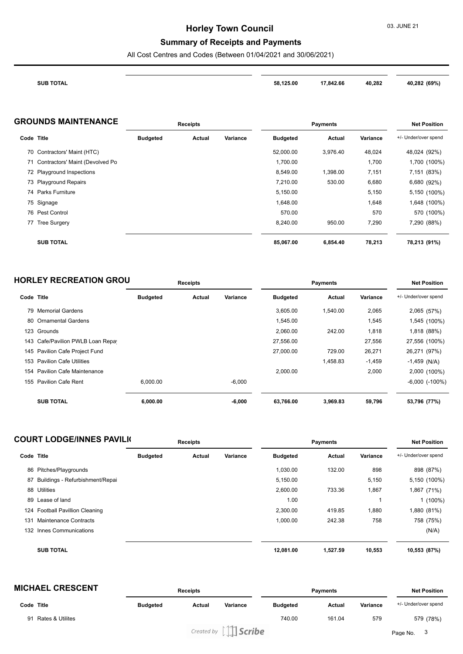### **Summary of Receipts and Payments**

All Cost Centres and Codes (Between 01/04/2021 and 30/06/2021)

| <b>SUB TOTAL</b><br>the contract of the contract of the contract of | 58.125.00 | 17.842.66<br>$\sim$ $\sim$ | 40,282 | 40,282 (69%) |
|---------------------------------------------------------------------|-----------|----------------------------|--------|--------------|
|                                                                     |           |                            |        |              |

#### **GROUNDS MAINTENANCE Receipts Payments Net Position**

|    |                                 | . <b>.</b>      |        | .        |                 |          |          |                      |
|----|---------------------------------|-----------------|--------|----------|-----------------|----------|----------|----------------------|
|    | Code Title                      | <b>Budgeted</b> | Actual | Variance | <b>Budgeted</b> | Actual   | Variance | +/- Under/over spend |
|    | 70 Contractors' Maint (HTC)     |                 |        |          | 52,000.00       | 3,976.40 | 48,024   | 48,024 (92%)         |
| 71 | Contractors' Maint (Devolved Po |                 |        |          | 1,700.00        |          | 1,700    | 1,700 (100%)         |
|    | 72 Playground Inspections       |                 |        |          | 8,549.00        | 1,398.00 | 7,151    | 7,151 (83%)          |
|    | 73 Playground Repairs           |                 |        |          | 7,210.00        | 530.00   | 6,680    | 6,680 (92%)          |
|    | 74 Parks Furniture              |                 |        |          | 5,150.00        |          | 5,150    | 5,150 (100%)         |
|    | 75 Signage                      |                 |        |          | 1,648.00        |          | 1,648    | 1,648 (100%)         |
|    | 76 Pest Control                 |                 |        |          | 570.00          |          | 570      | 570 (100%)           |
|    | 77 Tree Surgery                 |                 |        |          | 8.240.00        | 950.00   | 7,290    | 7,290 (88%)          |
|    | <b>SUB TOTAL</b>                |                 |        |          | 85,067.00       | 6,854.40 | 78,213   | 78,213 (91%)         |

| <b>HORLEY RECREATION GROU</b> | <b>Receipts</b> | Pavments | <b>Net Position</b> |
|-------------------------------|-----------------|----------|---------------------|
|                               |                 |          |                     |

|     | Code Title                        | <b>Budgeted</b> | Actual | Variance | <b>Budgeted</b> | Actual   | Variance | +/- Under/over spend |
|-----|-----------------------------------|-----------------|--------|----------|-----------------|----------|----------|----------------------|
|     | 79 Memorial Gardens               |                 |        |          | 3,605.00        | 1,540.00 | 2,065    | 2,065 (57%)          |
| 80  | <b>Ornamental Gardens</b>         |                 |        |          | 1,545.00        |          | 1,545    | 1,545 (100%)         |
|     | 123 Grounds                       |                 |        |          | 2.060.00        | 242.00   | 1,818    | 1,818 (88%)          |
|     | 143 Cafe/Pavilion PWLB Loan Repay |                 |        |          | 27,556.00       |          | 27,556   | 27,556 (100%)        |
|     | 145 Pavilion Cafe Project Fund    |                 |        |          | 27,000.00       | 729.00   | 26,271   | 26,271 (97%)         |
| 153 | <b>Pavilion Cafe Utilities</b>    |                 |        |          |                 | 1,458.83 | $-1,459$ | $-1,459$ (N/A)       |
|     | 154 Pavilion Cafe Maintenance     |                 |        |          | 2,000.00        |          | 2,000    | 2,000 (100%)         |
| 155 | <b>Pavilion Cafe Rent</b>         | 6.000.00        |        | $-6,000$ |                 |          |          | $-6,000$ $(-100\%)$  |
|     | <b>SUB TOTAL</b>                  | 6.000.00        |        | $-6,000$ | 63,766.00       | 3,969.83 | 59,796   | 53,796 (77%)         |

|            | <b>COURT LODGE/INNES PAVILK</b> | <b>Receipts</b> |        |          | <b>Payments</b> |          |          | <b>Net Position</b>  |
|------------|---------------------------------|-----------------|--------|----------|-----------------|----------|----------|----------------------|
| Code Title |                                 | <b>Budgeted</b> | Actual | Variance | <b>Budgeted</b> | Actual   | Variance | +/- Under/over spend |
|            | 86 Pitches/Playgrounds          |                 |        |          | 1,030.00        | 132.00   | 898      | 898 (87%)            |
| 87         | Buildings - Refurbishment/Repai |                 |        |          | 5,150.00        |          | 5,150    | 5,150 (100%)         |
| 88         | Utilities                       |                 |        |          | 2,600.00        | 733.36   | 1,867    | 1,867 (71%)          |
|            | 89 Lease of land                |                 |        |          | 1.00            |          |          | $1(100\%)$           |
|            | 124 Football Pavillion Cleaning |                 |        |          | 2,300.00        | 419.85   | 1,880    | 1,880 (81%)          |
| 131        | Maintenance Contracts           |                 |        |          | 1,000.00        | 242.38   | 758      | 758 (75%)            |
|            | 132 Innes Communications        |                 |        |          |                 |          |          | (N/A)                |
|            | <b>SUB TOTAL</b>                |                 |        |          | 12.081.00       | 1,527.59 | 10,553   | 10,553 (87%)         |

| <b>MICHAEL CRESCENT</b>                       |                 | <b>Receipts</b> |                            |                 | <b>Payments</b> |          |                      |
|-----------------------------------------------|-----------------|-----------------|----------------------------|-----------------|-----------------|----------|----------------------|
| Code Title                                    | <b>Budgeted</b> | Actual          | Variance                   | <b>Budgeted</b> | Actual          | Variance | +/- Under/over spend |
| <b>Rates &amp; Utilites</b><br>9 <sup>4</sup> |                 |                 |                            | 740.00          | 161.04          | 579      | 579 (78%)            |
|                                               |                 |                 | Created by $\iiint$ Scribe |                 |                 |          | Page No.             |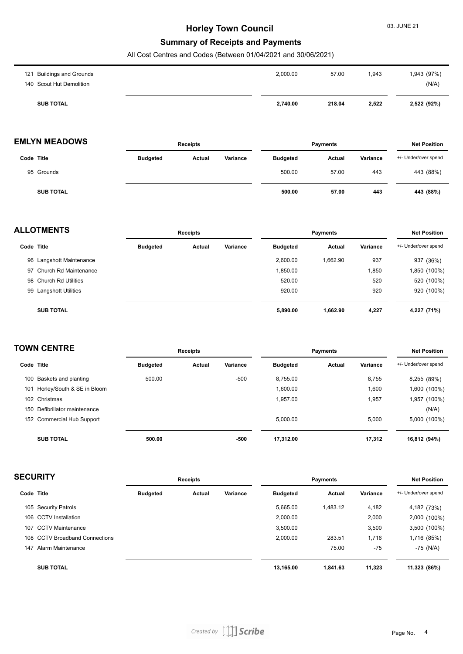#### **Summary of Receipts and Payments**

All Cost Centres and Codes (Between 01/04/2021 and 30/06/2021)

| <b>SUB TOTAL</b>          | 2,740.00 | 218.04 | 2,522 | 2,522 (92%) |
|---------------------------|----------|--------|-------|-------------|
| 140 Scout Hut Demolition  |          |        |       | (N/A)       |
| 121 Buildings and Grounds | 2,000.00 | 57.00  | 1,943 | 1,943 (97%) |

### **EMLYN MEADOWS Receipts Payments Net Position**

|                  |                 |        | . .,     |                 |        |          |                      |
|------------------|-----------------|--------|----------|-----------------|--------|----------|----------------------|
| Code Title       | <b>Budgeted</b> | Actual | Variance | <b>Budgeted</b> | Actual | Variance | +/- Under/over spend |
| 95 Grounds       |                 |        |          | 500.00          | 57.00  | 443      | 443 (88%)            |
| <b>SUB TOTAL</b> |                 |        |          | 500.00          | 57.00  | 443      | 443 (88%)            |

| <b>ALLOTMENTS</b> |                          |                 | <b>Receipts</b> |          |                 | <b>Payments</b> |          |                      |
|-------------------|--------------------------|-----------------|-----------------|----------|-----------------|-----------------|----------|----------------------|
|                   | Code Title               | <b>Budgeted</b> | Actual          | Variance | <b>Budgeted</b> | Actual          | Variance | +/- Under/over spend |
|                   | 96 Langshott Maintenance |                 |                 |          | 2.600.00        | 1.662.90        | 937      | 937 (36%)            |
|                   | 97 Church Rd Maintenance |                 |                 |          | 1,850.00        |                 | 1,850    | 1,850 (100%)         |
|                   | 98 Church Rd Utilities   |                 |                 |          | 520.00          |                 | 520      | 520 (100%)           |
|                   | 99 Langshott Utilities   |                 |                 |          | 920.00          |                 | 920      | 920 (100%)           |
|                   | <b>SUB TOTAL</b>         |                 |                 |          | 5,890.00        | 1,662.90        | 4,227    | 4,227 (71%)          |

| <b>TOWN CENTRE</b> |                               |                 | <b>Receipts</b> |          |                 | <b>Payments</b> |          |                      |
|--------------------|-------------------------------|-----------------|-----------------|----------|-----------------|-----------------|----------|----------------------|
|                    | Code Title                    | <b>Budgeted</b> | Actual          | Variance | <b>Budgeted</b> | Actual          | Variance | +/- Under/over spend |
|                    | 100 Baskets and planting      | 500.00          |                 | $-500$   | 8,755.00        |                 | 8,755    | 8,255 (89%)          |
| 101                | Horley/South & SE in Bloom    |                 |                 |          | 1,600.00        |                 | 1,600    | 1,600 (100%)         |
|                    | 102 Christmas                 |                 |                 |          | 1.957.00        |                 | 1,957    | 1,957 (100%)         |
|                    | 150 Defibrillator maintenance |                 |                 |          |                 |                 |          | (N/A)                |
|                    | 152 Commercial Hub Support    |                 |                 |          | 5,000.00        |                 | 5,000    | 5,000 (100%)         |
|                    | <b>SUB TOTAL</b>              | 500.00          |                 | -500     | 17,312.00       |                 | 17,312   | 16,812 (94%)         |

| <b>SECURITY</b> |                                |                 | <b>Receipts</b> |          |                 | <b>Payments</b> |          |                      |
|-----------------|--------------------------------|-----------------|-----------------|----------|-----------------|-----------------|----------|----------------------|
| Code Title      |                                | <b>Budgeted</b> | Actual          | Variance | <b>Budgeted</b> | Actual          | Variance | +/- Under/over spend |
|                 | 105 Security Patrols           |                 |                 |          | 5,665.00        | 1,483.12        | 4,182    | 4,182 (73%)          |
|                 | 106 CCTV Installation          |                 |                 |          | 2,000.00        |                 | 2,000    | 2,000 (100%)         |
| 107             | <b>CCTV Maintenance</b>        |                 |                 |          | 3,500.00        |                 | 3,500    | 3,500 (100%)         |
|                 | 108 CCTV Broadband Connections |                 |                 |          | 2,000.00        | 283.51          | 1,716    | 1,716 (85%)          |
| 147             | Alarm Maintenance              |                 |                 |          |                 | 75.00           | $-75$    | $-75$ (N/A)          |
|                 | <b>SUB TOTAL</b>               |                 |                 |          | 13.165.00       | 1.841.63        | 11.323   | 11,323 (86%)         |